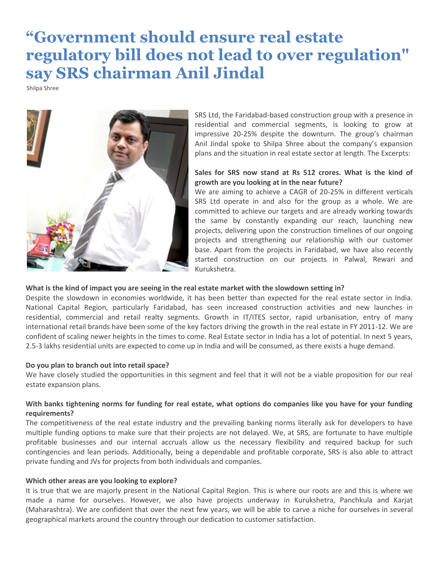# **"Government should ensure real estate regulatory bill does not lead to over regulation" say SRS chairman Anil Jindal**

Shilpa Shree



SRS Ltd, the Faridabad-based construction group with a presence in residential and commercial segments, is looking to grow at impressive 20-25% despite the downturn. The group's chairman Anil Jindal spoke to Shilpa Shree about the company's expansion plans and the situation in real estate sector at length. The Excerpts:

# **Sales for SRS now stand at Rs 512 crores. What is the kind of growth are you looking at in the near future?**

We are aiming to achieve a CAGR of 20-25% in different verticals SRS Ltd operate in and also for the group as a whole. We are committed to achieve our targets and are already working towards the same by constantly expanding our reach, launching new projects, delivering upon the construction timelines of our ongoing projects and strengthening our relationship with our customer base. Apart from the projects in Faridabad, we have also recently started construction on our projects in Palwal, Rewari and Kurukshetra.

## **What is the kind of impact you are seeing in the real estate market with the slowdown setting in?**

Despite the slowdown in economies worldwide, it has been better than expected for the real estate sector in India. National Capital Region, particularly Faridabad, has seen increased construction activities and new launches in residential, commercial and retail realty segments. Growth in IT/ITES sector, rapid urbanisation, entry of many international retail brands have been some of the key factors driving the growth in the real estate in FY 2011-12. We are confident of scaling newer heights in the times to come. Real Estate sector in India has a lot of potential. In next 5 years, 2.5-3 lakhs residential units are expected to come up in India and will be consumed, as there exists a huge demand.

#### **Do you plan to branch out into retail space?**

We have closely studied the opportunities in this segment and feel that it will not be a viable proposition for our real estate expansion plans.

## **With banks tightening norms for funding for real estate, what options do companies like you have for your funding requirements?**

The competitiveness of the real estate industry and the prevailing banking norms literally ask for developers to have multiple funding options to make sure that their projects are not delayed. We, at SRS, are fortunate to have multiple profitable businesses and our internal accruals allow us the necessary flexibility and required backup for such contingencies and lean periods. Additionally, being a dependable and profitable corporate, SRS is also able to attract private funding and JVs for projects from both individuals and companies.

#### **Which other areas are you looking to explore?**

It is true that we are majorly present in the National Capital Region. This is where our roots are and this is where we made a name for ourselves. However, we also have projects underway in Kurukshetra, Panchkula and Karjat (Maharashtra). We are confident that over the next few years, we will be able to carve a niche for ourselves in several geographical markets around the country through our dedication to customer satisfaction.